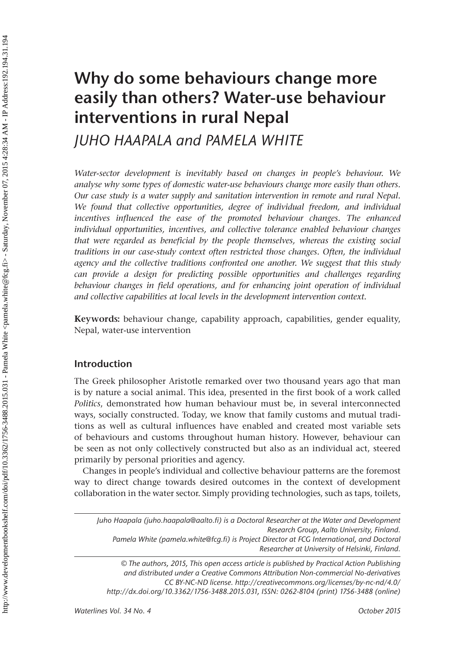# Why do some behaviours change more easily than others? Water-use behaviour interventions in rural Nepal

*JUHO HAAPALA and PAMELA WHITE*

*Water-sector development is inevitably based on changes in people's behaviour. We analyse why some types of domestic water-use behaviours change more easily than others. Our case study is a water supply and sanitation intervention in remote and rural Nepal. We found that collective opportunities, degree of individual freedom, and individual incentives influenced the ease of the promoted behaviour changes. The enhanced individual opportunities, incentives, and collective tolerance enabled behaviour changes that were regarded as beneficial by the people themselves, whereas the existing social traditions in our case-study context often restricted those changes. Often, the individual agency and the collective traditions confronted one another. We suggest that this study can provide a design for predicting possible opportunities and challenges regarding behaviour changes in field operations, and for enhancing joint operation of individual and collective capabilities at local levels in the development intervention context.* 

Keywords: behaviour change, capability approach, capabilities, gender equality, Nepal, water-use intervention

# **Introduction**

The Greek philosopher Aristotle remarked over two thousand years ago that man is by nature a social animal. This idea, presented in the first book of a work called *Politics*, demonstrated how human behaviour must be, in several interconnected ways, socially constructed. Today, we know that family customs and mutual traditions as well as cultural influences have enabled and created most variable sets of behaviours and customs throughout human history. However, behaviour can be seen as not only collectively constructed but also as an individual act, steered primarily by personal priorities and agency.

Changes in people's individual and collective behaviour patterns are the foremost way to direct change towards desired outcomes in the context of development collaboration in the water sector. Simply providing technologies, such as taps, toilets,

*Juho Haapala ([juho.haapala@aalto.fi\)](mailto:juho.haapala@aalto.fi) is a Doctoral Researcher at the Water and Development Research Group, Aalto University, Finland. Pamela White (pamela.white@fcg.fi) is Project Director at FCG International, and Doctoral Researcher at University of Helsinki, Finland.*

*© The authors, 2015, This open access article is published by Practical Action Publishing and distributed under a Creative Commons Attribution Non-commercial No-derivatives CC BY-NC-ND license[. http://creativecommons.org/licenses/by-nc-nd/4.0/](http://creativecommons.org/licenses/by-nc-nd/4.0/) [http://dx.doi.org/10.3362/1756-3488.2015.031,](http://dx.doi.org/10.3362/1756-3488.2015.031) ISSN: 0262-8104 (print) 1756-3488 (online)*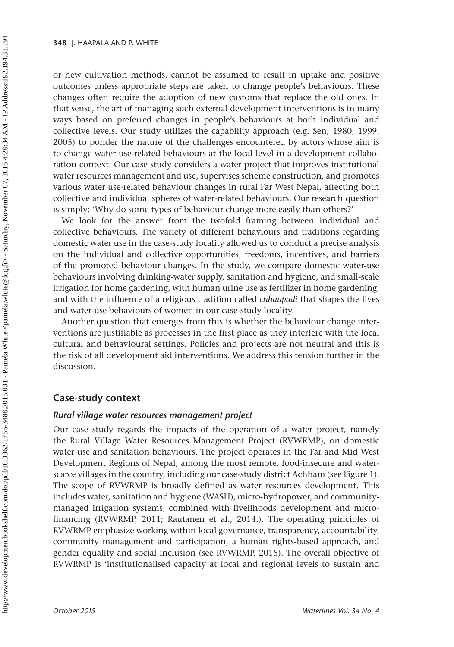or new cultivation methods, cannot be assumed to result in uptake and positive outcomes unless appropriate steps are taken to change people's behaviours. These changes often require the adoption of new customs that replace the old ones. In that sense, the art of managing such external development interventions is in many ways based on preferred changes in people's behaviours at both individual and collective levels. Our study utilizes the capability approach (e.g. Sen, 1980, 1999, 2005) to ponder the nature of the challenges encountered by actors whose aim is to change water use-related behaviours at the local level in a development collaboration context. Our case study considers a water project that improves institutional water resources management and use, supervises scheme construction, and promotes various water use-related behaviour changes in rural Far West Nepal, affecting both collective and individual spheres of water-related behaviours. Our research question is simply: 'Why do some types of behaviour change more easily than others?'

We look for the answer from the twofold framing between individual and collective behaviours. The variety of different behaviours and traditions regarding domestic water use in the case-study locality allowed us to conduct a precise analysis on the individual and collective opportunities, freedoms, incentives, and barriers of the promoted behaviour changes. In the study, we compare domestic water-use behaviours involving drinking-water supply, sanitation and hygiene, and small-scale irrigation for home gardening, with human urine use as fertilizer in home gardening, and with the influence of a religious tradition called *chhaupadi* that shapes the lives and water-use behaviours of women in our case-study locality.

Another question that emerges from this is whether the behaviour change interventions are justifiable as processes in the first place as they interfere with the local cultural and behavioural settings. Policies and projects are not neutral and this is the risk of all development aid interventions. We address this tension further in the discussion.

## **Case-study context**

### *Rural village water resources management project*

Our case study regards the impacts of the operation of a water project, namely the Rural Village Water Resources Management Project (RVWRMP), on domestic water use and sanitation behaviours. The project operates in the Far and Mid West Development Regions of Nepal, among the most remote, food-insecure and waterscarce villages in the country, including our case-study district Achham (see [Figure](#page-2-0) 1). The scope of RVWRMP is broadly defined as water resources development. This includes water, sanitation and hygiene (WASH), micro-hydropower, and communitymanaged irrigation systems, combined with livelihoods development and microfinancing (RVWRMP, 2011; Rautanen et al., 2014.). The operating principles of RVWRMP emphasize working within local governance, transparency, accountability, community management and participation, a human rights-based approach, and gender equality and social inclusion (see RVWRMP, 2015). The overall objective of RVWRMP is 'institutionalised capacity at local and regional levels to sustain and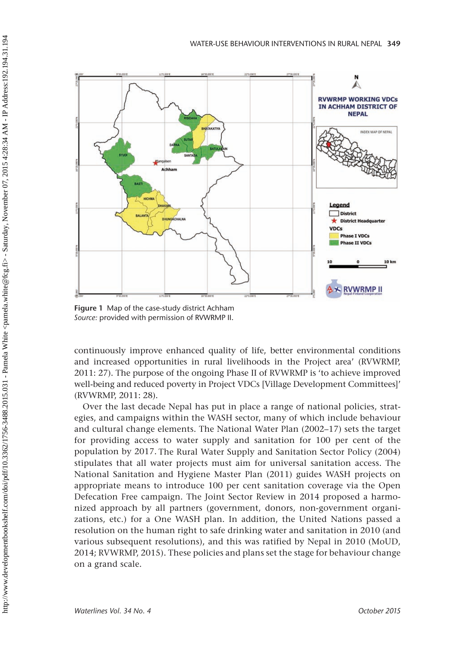<span id="page-2-0"></span>

Figure 1 Map of the case-study district Achham *Source:* provided with permission of RVWRMP II.

continuously improve enhanced quality of life, better environmental conditions and increased opportunities in rural livelihoods in the Project area' (RVWRMP, 2011: 27). The purpose of the ongoing Phase II of RVWRMP is 'to achieve improved well-being and reduced poverty in Project VDCs [Village Development Committees]' (RVWRMP, 2011: 28).

Over the last decade Nepal has put in place a range of national policies, strategies, and campaigns within the WASH sector, many of which include behaviour and cultural change elements. The National Water Plan (2002–17) sets the target for providing access to water supply and sanitation for 100 per cent of the population by 2017. The Rural Water Supply and Sanitation Sector Policy (2004) stipulates that all water projects must aim for universal sanitation access. The National Sanitation and Hygiene Master Plan (2011) guides WASH projects on appropriate means to introduce 100 per cent sanitation coverage via the Open Defecation Free campaign. The Joint Sector Review in 2014 proposed a harmonized approach by all partners (government, donors, non-government organizations, etc.) for a One WASH plan. In addition, the United Nations passed a resolution on the human right to safe drinking water and sanitation in 2010 (and various subsequent resolutions), and this was ratified by Nepal in 2010 (MoUD, 2014; RVWRMP, 2015). These policies and plans set the stage for behaviour change on a grand scale.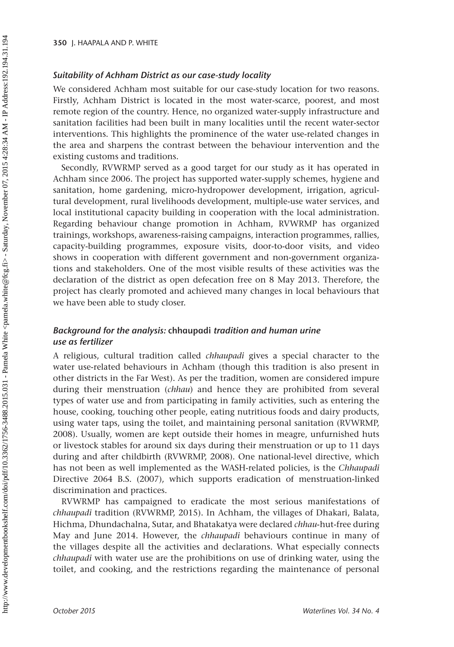### *Suitability of Achham District as our case-study locality*

We considered Achham most suitable for our case-study location for two reasons. Firstly, Achham District is located in the most water-scarce, poorest, and most remote region of the country. Hence, no organized water-supply infrastructure and sanitation facilities had been built in many localities until the recent water-sector interventions. This highlights the prominence of the water use-related changes in the area and sharpens the contrast between the behaviour intervention and the existing customs and traditions.

Secondly, RVWRMP served as a good target for our study as it has operated in Achham since 2006. The project has supported water-supply schemes, hygiene and sanitation, home gardening, micro-hydropower development, irrigation, agricultural development, rural livelihoods development, multiple-use water services, and local institutional capacity building in cooperation with the local administration. Regarding behaviour change promotion in Achham, RVWRMP has organized trainings, workshops, awareness-raising campaigns, interaction programmes, rallies, capacity-building programmes, exposure visits, door-to-door visits, and video shows in cooperation with different government and non-government organizations and stakeholders. One of the most visible results of these activities was the declaration of the district as open defecation free on 8 May 2013. Therefore, the project has clearly promoted and achieved many changes in local behaviours that we have been able to study closer.

# *Background for the analysis: chhaupadi tradition and human urine use as fertilizer*

A religious, cultural tradition called *chhaupadi* gives a special character to the water use-related behaviours in Achham (though this tradition is also present in other districts in the Far West). As per the tradition, women are considered impure during their menstruation (*chhau*) and hence they are prohibited from several types of water use and from participating in family activities, such as entering the house, cooking, touching other people, eating nutritious foods and dairy products, using water taps, using the toilet, and maintaining personal sanitation (RVWRMP, 2008). Usually, women are kept outside their homes in meagre, unfurnished huts or livestock stables for around six days during their menstruation or up to 11 days during and after childbirth (RVWRMP, 2008). One national-level directive, which has not been as well implemented as the WASH-related policies, is the *Chhaupadi* Directive 2064 B.S. (2007), which supports eradication of menstruation-linked discrimination and practices.

RVWRMP has campaigned to eradicate the most serious manifestations of *chhaupadi* tradition (RVWRMP, 2015). In Achham, the villages of Dhakari, Balata, Hichma, Dhundachalna, Sutar, and Bhatakatya were declared *chhau*-hut-free during May and June 2014. However, the *chhaupadi* behaviours continue in many of the villages despite all the activities and declarations. What especially connects *chhaupadi* with water use are the prohibitions on use of drinking water, using the toilet, and cooking, and the restrictions regarding the maintenance of personal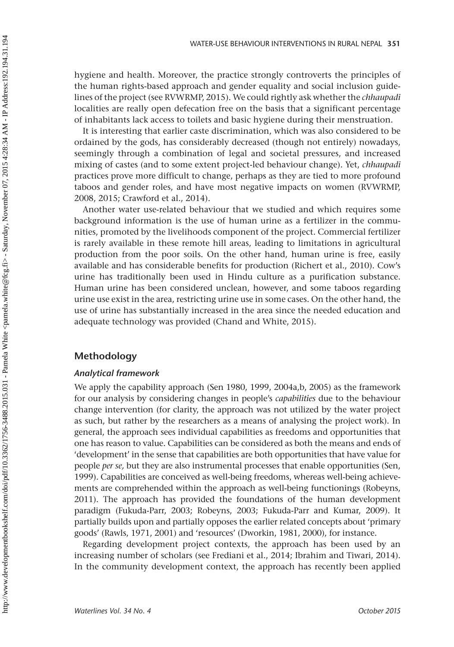hygiene and health. Moreover, the practice strongly controverts the principles of the human rights-based approach and gender equality and social inclusion guidelines of the project (see RVWRMP, 2015). We could rightly ask whether the *chhaupadi*  localities are really open defecation free on the basis that a significant percentage of inhabitants lack access to toilets and basic hygiene during their menstruation.

It is interesting that earlier caste discrimination, which was also considered to be ordained by the gods, has considerably decreased (though not entirely) nowadays, seemingly through a combination of legal and societal pressures, and increased mixing of castes (and to some extent project-led behaviour change). Yet, *chhaupadi* practices prove more difficult to change, perhaps as they are tied to more profound taboos and gender roles, and have most negative impacts on women (RVWRMP, 2008, 2015; Crawford et al., 2014).

Another water use-related behaviour that we studied and which requires some background information is the use of human urine as a fertilizer in the communities, promoted by the livelihoods component of the project. Commercial fertilizer is rarely available in these remote hill areas, leading to limitations in agricultural production from the poor soils. On the other hand, human urine is free, easily available and has considerable benefits for production (Richert et al., 2010). Cow's urine has traditionally been used in Hindu culture as a purification substance. Human urine has been considered unclean, however, and some taboos regarding urine use exist in the area, restricting urine use in some cases. On the other hand, the use of urine has substantially increased in the area since the needed education and adequate technology was provided (Chand and White, 2015).

# **Methodology**

## *Analytical framework*

We apply the capability approach (Sen 1980, 1999, 2004a,b, 2005) as the framework for our analysis by considering changes in people's *capabilities* due to the behaviour change intervention (for clarity, the approach was not utilized by the water project as such, but rather by the researchers as a means of analysing the project work). In general, the approach sees individual capabilities as freedoms and opportunities that one has reason to value. Capabilities can be considered as both the means and ends of 'development' in the sense that capabilities are both opportunities that have value for people *per se,* but they are also instrumental processes that enable opportunities (Sen, 1999). Capabilities are conceived as well-being freedoms, whereas well-being achievements are comprehended within the approach as well-being functionings (Robeyns, 2011). The approach has provided the foundations of the human development paradigm (Fukuda-Parr, 2003; Robeyns, 2003; Fukuda-Parr and Kumar, 2009). It partially builds upon and partially opposes the earlier related concepts about 'primary goods' (Rawls, 1971, 2001) and 'resources' (Dworkin, 1981, 2000), for instance.

Regarding development project contexts, the approach has been used by an increasing number of scholars (see Frediani et al., 2014; Ibrahim and Tiwari, 2014). In the community development context, the approach has recently been applied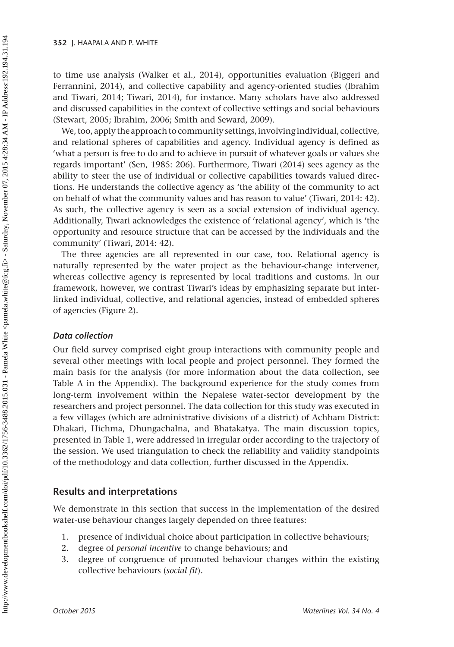to time use analysis (Walker et al., 2014), opportunities evaluation (Biggeri and Ferrannini, 2014), and collective capability and agency-oriented studies (Ibrahim and Tiwari, 2014; Tiwari, 2014), for instance. Many scholars have also addressed and discussed capabilities in the context of collective settings and social behaviours (Stewart, 2005; Ibrahim, 2006; Smith and Seward, 2009).

We, too, apply the approach to community settings, involving individual, collective, and relational spheres of capabilities and agency. Individual agency is defined as 'what a person is free to do and to achieve in pursuit of whatever goals or values she regards important' (Sen, 1985: 206). Furthermore, Tiwari (2014) sees agency as the ability to steer the use of individual or collective capabilities towards valued directions. He understands the collective agency as 'the ability of the community to act on behalf of what the community values and has reason to value' (Tiwari, 2014: 42). As such, the collective agency is seen as a social extension of individual agency. Additionally, Tiwari acknowledges the existence of 'relational agency', which is 'the opportunity and resource structure that can be accessed by the individuals and the community' (Tiwari, 2014: 42).

The three agencies are all represented in our case, too. Relational agency is naturally represented by the water project as the behaviour-change intervener, whereas collective agency is represented by local traditions and customs. In our framework, however, we contrast Tiwari's ideas by emphasizing separate but interlinked individual, collective, and relational agencies, instead of embedded spheres of agencies [\(Figure 2\)](#page-6-0).

# *Data collection*

Our field survey comprised eight group interactions with community people and several other meetings with local people and project personnel. They formed the main basis for the analysis (for more information about the data collection, see [Table A](#page-15-0) in the Appendix). The background experience for the study comes from long-term involvement within the Nepalese water-sector development by the researchers and project personnel. The data collection for this study was executed in a few villages (which are administrative divisions of a district) of Achham District: Dhakari, Hichma, Dhungachalna, and Bhatakatya. The main discussion topics, presented in [Table 1,](#page-6-0) were addressed in irregular order according to the trajectory of the session. We used triangulation to check the reliability and validity standpoints of the methodology and data collection, further discussed in the Appendix.

# **Results and interpretations**

We demonstrate in this section that success in the implementation of the desired water-use behaviour changes largely depended on three features:

- 1. presence of individual choice about participation in collective behaviours;
- 2. degree of *personal incentive* to change behaviours; and
- 3. degree of congruence of promoted behaviour changes within the existing collective behaviours (*social fit*).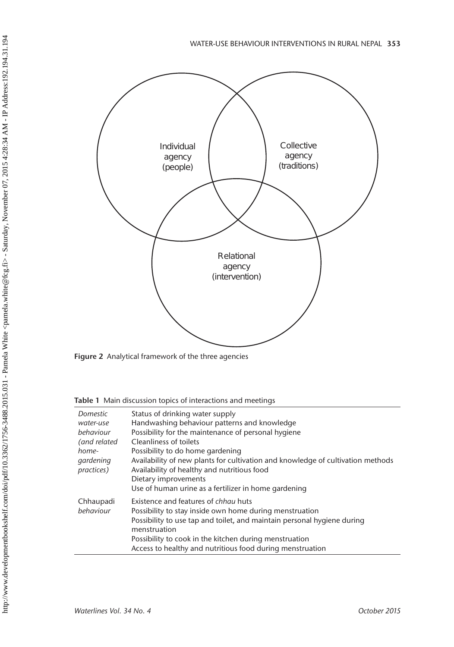<span id="page-6-0"></span>

Figure 2 Analytical framework of the three agencies

Table 1 Main discussion topics of interactions and meetings

| Domestic<br>water-use<br>behaviour<br>(and related<br>home-<br>gardening<br><i>practices</i> ) | Status of drinking water supply<br>Handwashing behaviour patterns and knowledge<br>Possibility for the maintenance of personal hygiene<br>Cleanliness of toilets<br>Possibility to do home gardening<br>Availability of new plants for cultivation and knowledge of cultivation methods<br>Availability of healthy and nutritious food<br>Dietary improvements<br>Use of human urine as a fertilizer in home gardening |
|------------------------------------------------------------------------------------------------|------------------------------------------------------------------------------------------------------------------------------------------------------------------------------------------------------------------------------------------------------------------------------------------------------------------------------------------------------------------------------------------------------------------------|
| Chhaupadi<br>behaviour                                                                         | Existence and features of chhau huts<br>Possibility to stay inside own home during menstruation<br>Possibility to use tap and toilet, and maintain personal hygiene during<br>menstruation<br>Possibility to cook in the kitchen during menstruation<br>Access to healthy and nutritious food during menstruation                                                                                                      |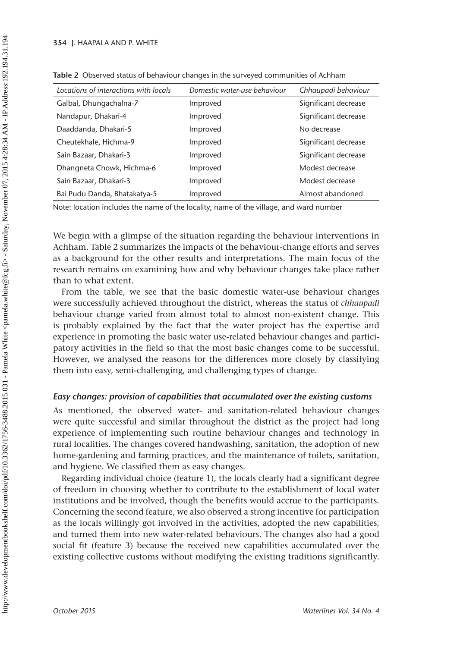| Locations of interactions with locals | Domestic water-use behaviour | Chhaupadi behaviour  |
|---------------------------------------|------------------------------|----------------------|
| Galbal, Dhungachalna-7                | Improved                     | Significant decrease |
| Nandapur, Dhakari-4                   | Improved                     | Significant decrease |
| Daaddanda, Dhakari-5                  | Improved                     | No decrease          |
| Cheutekhale, Hichma-9                 | Improved                     | Significant decrease |
| Sain Bazaar, Dhakari-3                | Improved                     | Significant decrease |
| Dhangneta Chowk, Hichma-6             | Improved                     | Modest decrease      |
| Sain Bazaar, Dhakari-3                | Improved                     | Modest decrease      |
| Bai Pudu Danda, Bhatakatya-5          | Improved                     | Almost abandoned     |

Table 2 Observed status of behaviour changes in the surveyed communities of Achham

Note: location includes the name of the locality, name of the village, and ward number

We begin with a glimpse of the situation regarding the behaviour interventions in Achham. Table 2 summarizes the impacts of the behaviour-change efforts and serves as a background for the other results and interpretations. The main focus of the research remains on examining how and why behaviour changes take place rather than to what extent.

From the table, we see that the basic domestic water-use behaviour changes were successfully achieved throughout the district, whereas the status of *chhaupadi* behaviour change varied from almost total to almost non-existent change. This is probably explained by the fact that the water project has the expertise and experience in promoting the basic water use-related behaviour changes and participatory activities in the field so that the most basic changes come to be successful. However, we analysed the reasons for the differences more closely by classifying them into easy, semi-challenging, and challenging types of change.

## *Easy changes: provision of capabilities that accumulated over the existing customs*

As mentioned, the observed water- and sanitation-related behaviour changes were quite successful and similar throughout the district as the project had long experience of implementing such routine behaviour changes and technology in rural localities. The changes covered handwashing, sanitation, the adoption of new home-gardening and farming practices, and the maintenance of toilets, sanitation, and hygiene. We classified them as easy changes.

Regarding individual choice (feature 1), the locals clearly had a significant degree of freedom in choosing whether to contribute to the establishment of local water institutions and be involved, though the benefits would accrue to the participants. Concerning the second feature, we also observed a strong incentive for participation as the locals willingly got involved in the activities, adopted the new capabilities, and turned them into new water-related behaviours. The changes also had a good social fit (feature 3) because the received new capabilities accumulated over the existing collective customs without modifying the existing traditions significantly.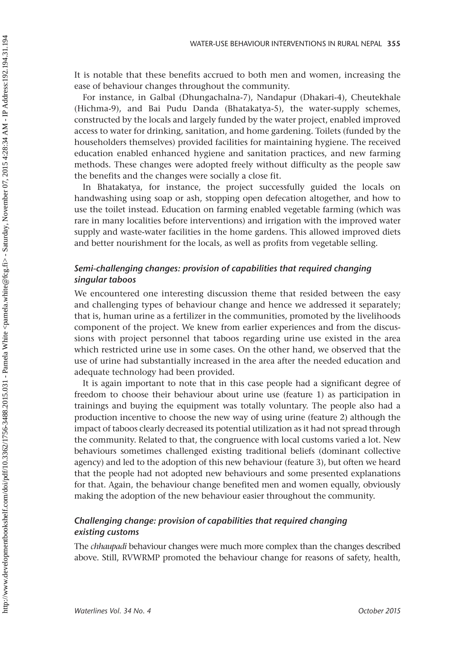It is notable that these benefits accrued to both men and women, increasing the ease of behaviour changes throughout the community.

For instance, in Galbal (Dhungachalna-7), Nandapur (Dhakari-4), Cheutekhale (Hichma-9), and Bai Pudu Danda (Bhatakatya-5), the water-supply schemes, constructed by the locals and largely funded by the water project, enabled improved access to water for drinking, sanitation, and home gardening. Toilets (funded by the householders themselves) provided facilities for maintaining hygiene. The received education enabled enhanced hygiene and sanitation practices, and new farming methods. These changes were adopted freely without difficulty as the people saw the benefits and the changes were socially a close fit.

In Bhatakatya, for instance, the project successfully guided the locals on handwashing using soap or ash, stopping open defecation altogether, and how to use the toilet instead. Education on farming enabled vegetable farming (which was rare in many localities before interventions) and irrigation with the improved water supply and waste-water facilities in the home gardens. This allowed improved diets and better nourishment for the locals, as well as profits from vegetable selling.

# *Semi-challenging changes: provision of capabilities that required changing singular taboos*

We encountered one interesting discussion theme that resided between the easy and challenging types of behaviour change and hence we addressed it separately; that is, human urine as a fertilizer in the communities, promoted by the livelihoods component of the project. We knew from earlier experiences and from the discussions with project personnel that taboos regarding urine use existed in the area which restricted urine use in some cases. On the other hand, we observed that the use of urine had substantially increased in the area after the needed education and adequate technology had been provided.

It is again important to note that in this case people had a significant degree of freedom to choose their behaviour about urine use (feature 1) as participation in trainings and buying the equipment was totally voluntary. The people also had a production incentive to choose the new way of using urine (feature 2) although the impact of taboos clearly decreased its potential utilization as it had not spread through the community. Related to that, the congruence with local customs varied a lot. New behaviours sometimes challenged existing traditional beliefs (dominant collective agency) and led to the adoption of this new behaviour (feature 3), but often we heard that the people had not adopted new behaviours and some presented explanations for that. Again, the behaviour change benefited men and women equally, obviously making the adoption of the new behaviour easier throughout the community.

# *Challenging change: provision of capabilities that required changing existing customs*

The *chhaupadi* behaviour changes were much more complex than the changes described above. Still, RVWRMP promoted the behaviour change for reasons of safety, health,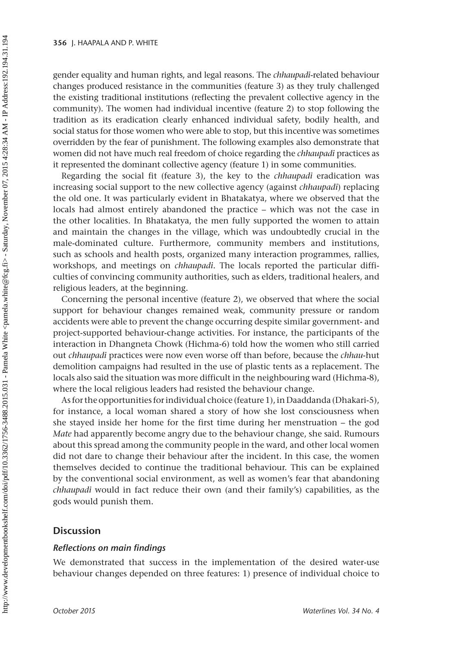gender equality and human rights, and legal reasons. The *chhaupadi-*related behaviour changes produced resistance in the communities (feature 3) as they truly challenged the existing traditional institutions (reflecting the prevalent collective agency in the community). The women had individual incentive (feature 2) to stop following the tradition as its eradication clearly enhanced individual safety, bodily health, and social status for those women who were able to stop, but this incentive was sometimes overridden by the fear of punishment. The following examples also demonstrate that women did not have much real freedom of choice regarding the *chhaupadi* practices as it represented the dominant collective agency (feature 1) in some communities.

Regarding the social fit (feature 3), the key to the *chhaupadi* eradication was increasing social support to the new collective agency (against *chhaupadi*) replacing the old one. It was particularly evident in Bhatakatya, where we observed that the locals had almost entirely abandoned the practice – which was not the case in the other localities. In Bhatakatya, the men fully supported the women to attain and maintain the changes in the village, which was undoubtedly crucial in the male-dominated culture. Furthermore, community members and institutions, such as schools and health posts, organized many interaction programmes, rallies, workshops, and meetings on *chhaupadi*. The locals reported the particular difficulties of convincing community authorities, such as elders, traditional healers, and religious leaders, at the beginning.

Concerning the personal incentive (feature 2), we observed that where the social support for behaviour changes remained weak, community pressure or random accidents were able to prevent the change occurring despite similar government- and project-supported behaviour-change activities. For instance, the participants of the interaction in Dhangneta Chowk (Hichma-6) told how the women who still carried out *chhaupadi* practices were now even worse off than before, because the *chhau*-hut demolition campaigns had resulted in the use of plastic tents as a replacement. The locals also said the situation was more difficult in the neighbouring ward (Hichma-8), where the local religious leaders had resisted the behaviour change.

As for the opportunities for individual choice (feature 1), in Daaddanda (Dhakari-5), for instance, a local woman shared a story of how she lost consciousness when she stayed inside her home for the first time during her menstruation – the god *Mate* had apparently become angry due to the behaviour change, she said. Rumours about this spread among the community people in the ward, and other local women did not dare to change their behaviour after the incident. In this case, the women themselves decided to continue the traditional behaviour. This can be explained by the conventional social environment, as well as women's fear that abandoning *chhaupadi* would in fact reduce their own (and their family's) capabilities, as the gods would punish them.

## **Discussion**

### *Reflections on main findings*

We demonstrated that success in the implementation of the desired water-use behaviour changes depended on three features: 1) presence of individual choice to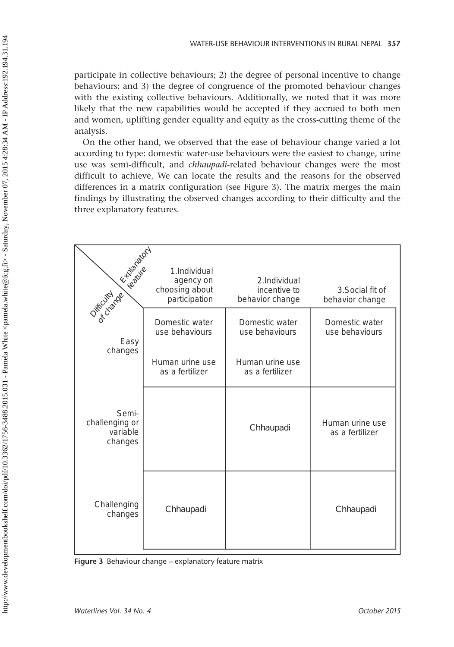participate in collective behaviours; 2) the degree of personal incentive to change behaviours; and 3) the degree of congruence of the promoted behaviour changes with the existing collective behaviours. Additionally, we noted that it was more likely that the new capabilities would be accepted if they accrued to both men and women, uplifting gender equality and equity as the cross-cutting theme of the analysis.

On the other hand, we observed that the ease of behaviour change varied a lot according to type: domestic water-use behaviours were the easiest to change, urine use was semi-difficult, and *chhaupadi*-related behaviour changes were the most difficult to achieve. We can locate the results and the reasons for the observed differences in a matrix configuration (see Figure 3). The matrix merges the main findings by illustrating the observed changes according to their difficulty and the three explanatory features.

| East of Bridge<br>Os Fricando                  | 1.Individual<br>agency on<br>choosing about<br>participation | 2.Individual<br>incentive to<br>behavior change | 3. Social fit of<br>behavior change |
|------------------------------------------------|--------------------------------------------------------------|-------------------------------------------------|-------------------------------------|
| Easy                                           | Domestic water<br>use behaviours                             | Domestic water<br>use behaviours                | Domestic water<br>use behaviours    |
| changes                                        | Human urine use<br>as a fertilizer                           | Human urine use<br>as a fertilizer              |                                     |
| Semi-<br>challenging or<br>variable<br>changes |                                                              | Chhaupadi                                       | Human urine use<br>as a fertilizer  |
| Challenging<br>changes                         | Chhaupadi                                                    |                                                 | Chhaupadi                           |

Figure 3 Behaviour change – explanatory feature matrix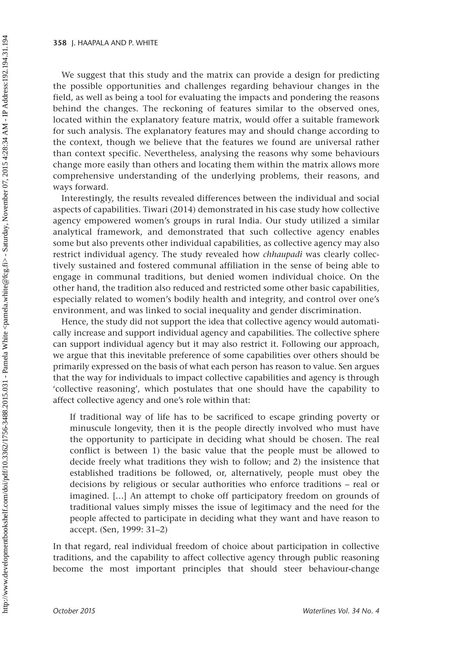We suggest that this study and the matrix can provide a design for predicting the possible opportunities and challenges regarding behaviour changes in the field, as well as being a tool for evaluating the impacts and pondering the reasons behind the changes. The reckoning of features similar to the observed ones, located within the explanatory feature matrix, would offer a suitable framework for such analysis. The explanatory features may and should change according to the context, though we believe that the features we found are universal rather than context specific. Nevertheless, analysing the reasons why some behaviours change more easily than others and locating them within the matrix allows more comprehensive understanding of the underlying problems, their reasons, and ways forward.

Interestingly, the results revealed differences between the individual and social aspects of capabilities. Tiwari (2014) demonstrated in his case study how collective agency empowered women's groups in rural India. Our study utilized a similar analytical framework, and demonstrated that such collective agency enables some but also prevents other individual capabilities, as collective agency may also restrict individual agency. The study revealed how *chhaupadi* was clearly collectively sustained and fostered communal affiliation in the sense of being able to engage in communal traditions, but denied women individual choice. On the other hand, the tradition also reduced and restricted some other basic capabilities, especially related to women's bodily health and integrity, and control over one's environment, and was linked to social inequality and gender discrimination.

Hence, the study did not support the idea that collective agency would automatically increase and support individual agency and capabilities. The collective sphere can support individual agency but it may also restrict it. Following our approach, we argue that this inevitable preference of some capabilities over others should be primarily expressed on the basis of what each person has reason to value. Sen argues that the way for individuals to impact collective capabilities and agency is through 'collective reasoning', which postulates that one should have the capability to affect collective agency and one's role within that:

If traditional way of life has to be sacrificed to escape grinding poverty or minuscule longevity, then it is the people directly involved who must have the opportunity to participate in deciding what should be chosen. The real conflict is between 1) the basic value that the people must be allowed to decide freely what traditions they wish to follow; and 2) the insistence that established traditions be followed, or, alternatively, people must obey the decisions by religious or secular authorities who enforce traditions – real or imagined. […] An attempt to choke off participatory freedom on grounds of traditional values simply misses the issue of legitimacy and the need for the people affected to participate in deciding what they want and have reason to accept. (Sen, 1999: 31–2)

In that regard, real individual freedom of choice about participation in collective traditions, and the capability to affect collective agency through public reasoning become the most important principles that should steer behaviour-change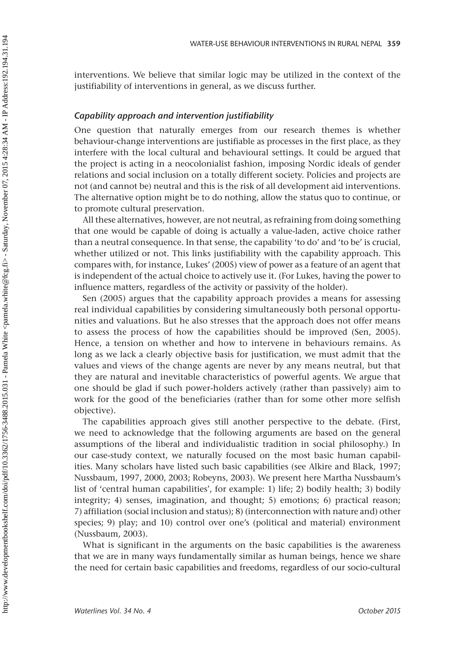interventions. We believe that similar logic may be utilized in the context of the justifiability of interventions in general, as we discuss further.

# *Capability approach and intervention justifiability*

One question that naturally emerges from our research themes is whether behaviour-change interventions are justifiable as processes in the first place, as they interfere with the local cultural and behavioural settings. It could be argued that the project is acting in a neocolonialist fashion, imposing Nordic ideals of gender relations and social inclusion on a totally different society. Policies and projects are not (and cannot be) neutral and this is the risk of all development aid interventions. The alternative option might be to do nothing, allow the status quo to continue, or to promote cultural preservation.

All these alternatives, however, are not neutral, as refraining from doing something that one would be capable of doing is actually a value-laden, active choice rather than a neutral consequence. In that sense, the capability 'to do' and 'to be' is crucial, whether utilized or not. This links justifiability with the capability approach. This compares with, for instance, Lukes' (2005) view of power as a feature of an agent that is independent of the actual choice to actively use it. (For Lukes, having the power to influence matters, regardless of the activity or passivity of the holder).

Sen (2005) argues that the capability approach provides a means for assessing real individual capabilities by considering simultaneously both personal opportunities and valuations. But he also stresses that the approach does not offer means to assess the process of how the capabilities should be improved (Sen, 2005). Hence, a tension on whether and how to intervene in behaviours remains. As long as we lack a clearly objective basis for justification, we must admit that the values and views of the change agents are never by any means neutral, but that they are natural and inevitable characteristics of powerful agents. We argue that one should be glad if such power-holders actively (rather than passively) aim to work for the good of the beneficiaries (rather than for some other more selfish objective).

The capabilities approach gives still another perspective to the debate. (First, we need to acknowledge that the following arguments are based on the general assumptions of the liberal and individualistic tradition in social philosophy.) In our case-study context, we naturally focused on the most basic human capabilities. Many scholars have listed such basic capabilities (see Alkire and Black, 1997; Nussbaum, 1997, 2000, 2003; Robeyns, 2003). We present here Martha Nussbaum's list of 'central human capabilities', for example: 1) life; 2) bodily health; 3) bodily integrity; 4) senses, imagination, and thought; 5) emotions; 6) practical reason; 7) affiliation (social inclusion and status); 8) (interconnection with nature and) other species; 9) play; and 10) control over one's (political and material) environment (Nussbaum, 2003).

What is significant in the arguments on the basic capabilities is the awareness that we are in many ways fundamentally similar as human beings, hence we share the need for certain basic capabilities and freedoms, regardless of our socio-cultural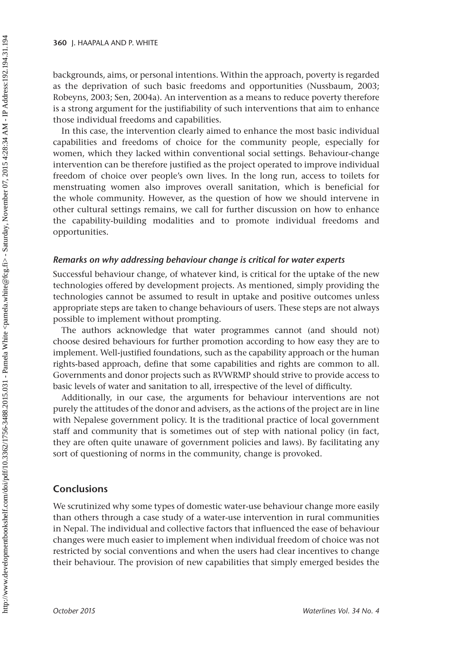backgrounds, aims, or personal intentions. Within the approach, poverty is regarded as the deprivation of such basic freedoms and opportunities (Nussbaum, 2003; Robeyns, 2003; Sen, 2004a). An intervention as a means to reduce poverty therefore is a strong argument for the justifiability of such interventions that aim to enhance those individual freedoms and capabilities.

In this case, the intervention clearly aimed to enhance the most basic individual capabilities and freedoms of choice for the community people, especially for women, which they lacked within conventional social settings. Behaviour-change intervention can be therefore justified as the project operated to improve individual freedom of choice over people's own lives. In the long run, access to toilets for menstruating women also improves overall sanitation, which is beneficial for the whole community. However, as the question of how we should intervene in other cultural settings remains, we call for further discussion on how to enhance the capability-building modalities and to promote individual freedoms and opportunities.

## *Remarks on why addressing behaviour change is critical for water experts*

Successful behaviour change, of whatever kind, is critical for the uptake of the new technologies offered by development projects. As mentioned, simply providing the technologies cannot be assumed to result in uptake and positive outcomes unless appropriate steps are taken to change behaviours of users. These steps are not always possible to implement without prompting.

The authors acknowledge that water programmes cannot (and should not) choose desired behaviours for further promotion according to how easy they are to implement. Well-justified foundations, such as the capability approach or the human rights-based approach, define that some capabilities and rights are common to all. Governments and donor projects such as RVWRMP should strive to provide access to basic levels of water and sanitation to all, irrespective of the level of difficulty.

Additionally, in our case, the arguments for behaviour interventions are not purely the attitudes of the donor and advisers, as the actions of the project are in line with Nepalese government policy. It is the traditional practice of local government staff and community that is sometimes out of step with national policy (in fact, they are often quite unaware of government policies and laws). By facilitating any sort of questioning of norms in the community, change is provoked.

# **Conclusions**

We scrutinized why some types of domestic water-use behaviour change more easily than others through a case study of a water-use intervention in rural communities in Nepal. The individual and collective factors that influenced the ease of behaviour changes were much easier to implement when individual freedom of choice was not restricted by social conventions and when the users had clear incentives to change their behaviour. The provision of new capabilities that simply emerged besides the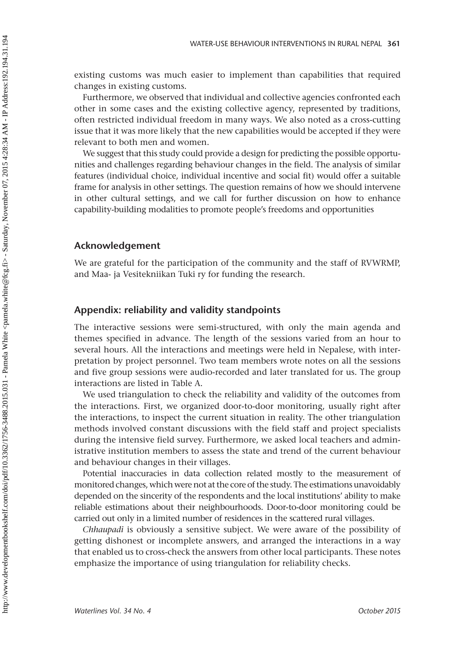existing customs was much easier to implement than capabilities that required changes in existing customs.

Furthermore, we observed that individual and collective agencies confronted each other in some cases and the existing collective agency, represented by traditions, often restricted individual freedom in many ways. We also noted as a cross-cutting issue that it was more likely that the new capabilities would be accepted if they were relevant to both men and women.

We suggest that this study could provide a design for predicting the possible opportunities and challenges regarding behaviour changes in the field. The analysis of similar features (individual choice, individual incentive and social fit) would offer a suitable frame for analysis in other settings. The question remains of how we should intervene in other cultural settings, and we call for further discussion on how to enhance capability-building modalities to promote people's freedoms and opportunities

## **Acknowledgement**

We are grateful for the participation of the community and the staff of RVWRMP, and Maa- ja Vesitekniikan Tuki ry for funding the research.

# **Appendix: reliability and validity standpoints**

The interactive sessions were semi-structured, with only the main agenda and themes specified in advance. The length of the sessions varied from an hour to several hours. All the interactions and meetings were held in Nepalese, with interpretation by project personnel. Two team members wrote notes on all the sessions and five group sessions were audio-recorded and later translated for us. The group interactions are listed in [Table A.](#page-15-0)

We used triangulation to check the reliability and validity of the outcomes from the interactions. First, we organized door-to-door monitoring, usually right after the interactions, to inspect the current situation in reality. The other triangulation methods involved constant discussions with the field staff and project specialists during the intensive field survey. Furthermore, we asked local teachers and administrative institution members to assess the state and trend of the current behaviour and behaviour changes in their villages.

Potential inaccuracies in data collection related mostly to the measurement of monitored changes, which were not at the core of the study. The estimations unavoidably depended on the sincerity of the respondents and the local institutions' ability to make reliable estimations about their neighbourhoods. Door-to-door monitoring could be carried out only in a limited number of residences in the scattered rural villages.

*Chhaupadi* is obviously a sensitive subject. We were aware of the possibility of getting dishonest or incomplete answers, and arranged the interactions in a way that enabled us to cross-check the answers from other local participants. These notes emphasize the importance of using triangulation for reliability checks.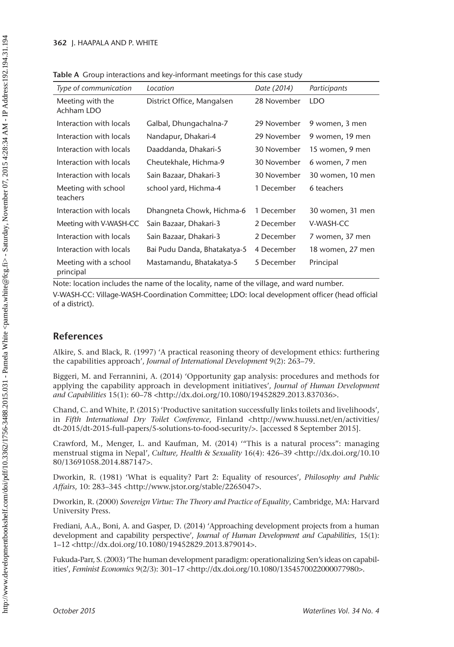| Type of communication              | Location                     | Date (2014) | Participants     |
|------------------------------------|------------------------------|-------------|------------------|
| Meeting with the<br>Achham LDO     | District Office, Mangalsen   | 28 November | <b>LDO</b>       |
| Interaction with locals            | Galbal, Dhungachalna-7       | 29 November | 9 women, 3 men   |
| Interaction with locals            | Nandapur, Dhakari-4          | 29 November | 9 women, 19 men  |
| Interaction with locals            | Daaddanda, Dhakari-5         | 30 November | 15 women, 9 men  |
| Interaction with locals            | Cheutekhale, Hichma-9        | 30 November | 6 women, 7 men   |
| Interaction with locals            | Sain Bazaar, Dhakari-3       | 30 November | 30 women, 10 men |
| Meeting with school<br>teachers    | school yard, Hichma-4        | 1 December  | 6 teachers       |
| Interaction with locals            | Dhangneta Chowk, Hichma-6    | 1 December  | 30 women, 31 men |
| Meeting with V-WASH-CC             | Sain Bazaar, Dhakari-3       | 2 December  | V-WASH-CC        |
| Interaction with locals            | Sain Bazaar, Dhakari-3       | 2 December  | 7 women, 37 men  |
| Interaction with locals            | Bai Pudu Danda, Bhatakatya-5 | 4 December  | 18 women, 27 men |
| Meeting with a school<br>principal | Mastamandu, Bhatakatya-5     | 5 December  | Principal        |

<span id="page-15-0"></span>Table A Group interactions and key-informant meetings for this case study

Note: location includes the name of the locality, name of the village, and ward number. V-WASH-CC: Village-WASH-Coordination Committee; LDO: local development officer (head official of a district).

# **References**

Alkire, S. and Black, R. (1997) 'A practical reasoning theory of development ethics: furthering the capabilities approach', *Journal of International Development* 9(2): 263–79.

Biggeri, M. and Ferrannini, A. (2014) 'Opportunity gap analysis: procedures and methods for applying the capability approach in development initiatives', *Journal of Human Development*  and Capabilities 15(1): 60–78 [<http://dx.doi.org/10.1080/19452829.2013.837036>](http://dx.doi.org/10.1080/19452829.2013.837036).

Chand, C. and White, P. (2015) 'Productive sanitation successfully links toilets and livelihoods', in *Fifth International Dry Toilet Conference*, Finland <[http://www.huussi.net/en/activities/](http://www.huussi.net/en/activities/dt-2015/dt-2015-full-papers/5-solutions-to-food-security/) [dt-2015/dt-2015-full-papers/5-solutions-to-food-security/>](http://www.huussi.net/en/activities/dt-2015/dt-2015-full-papers/5-solutions-to-food-security/). [accessed 8 September 2015].

Crawford, M., Menger, L. and Kaufman, M. (2014) '"This is a natural process": managing menstrual stigma in Nepal', *Culture, Health & Sexuality* 16(4): 426–39 <[http://dx.doi.org/10.10](http://dx.doi.org/10.1080/13691058.2014.887147) [80/13691058.2014.887147>](http://dx.doi.org/10.1080/13691058.2014.887147).

Dworkin, R. (1981) 'What is equality? Part 2: Equality of resources', *Philosophy and Public Affairs*, 10: 283–345 [<http://www.jstor.org/stable/2265047>](http://www.jstor.org/stable/2265047).

Dworkin, R. (2000) *Sovereign Virtue: The Theory and Practice of Equality*, Cambridge, MA: Harvard University Press.

Frediani, A.A., Boni, A. and Gasper, D. (2014) 'Approaching development projects from a human development and capability perspective', *Journal of Human Development and Capabilities*, 15(1): 1–12 [<http://dx.doi.org/10.1080/19452829.2013.879014>](http://dx.doi.org/10.1080/19452829.2013.879014).

Fukuda-Parr, S. (2003) 'The human development paradigm: operationalizing Sen's ideas on capabilities', *Feminist Economics* 9(2/3): 301–17 [<http://dx.doi.org/10.1080/1354570022000077980>](http://dx.doi.org/10.1080/1354570022000077980).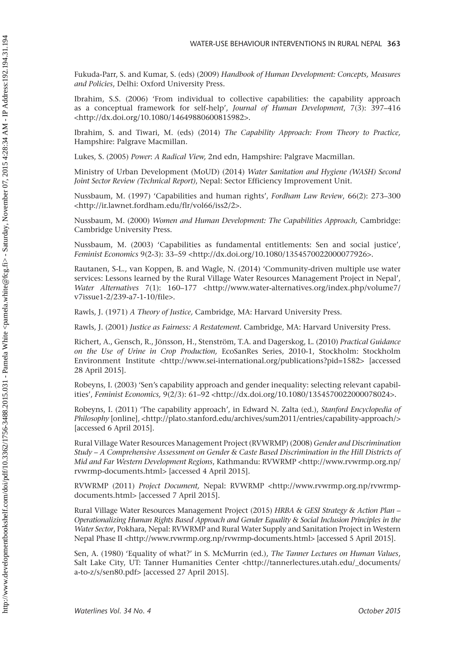Fukuda-Parr, S. and Kumar, S. (eds) (2009) *Handbook of Human Development: Concepts, Measures and Policies*, Delhi: Oxford University Press.

Ibrahim, S.S. (2006) 'From individual to collective capabilities: the capability approach as a conceptual framework for self-help', *Journal of Human Development*, 7(3): 397–416 <[http://dx.doi.org/10.1080/14649880600815982>](http://dx.doi.org/10.1080/14649880600815982).

Ibrahim, S. and Tiwari, M. (eds) (2014) *The Capability Approach: From Theory to Practice,* Hampshire: Palgrave Macmillan.

Lukes, S. (2005) *Power*: *A Radical View,* 2nd edn, Hampshire: Palgrave Macmillan.

Ministry of Urban Development (MoUD) (2014) *Water Sanitation and Hygiene (WASH) Second Joint Sector Review (Technical Report)*, Nepal: Sector Efficiency Improvement Unit.

Nussbaum, M. (1997) 'Capabilities and human rights', *Fordham Law Review*, 66(2): 273–300 <[http://ir.lawnet.fordham.edu/flr/vol66/iss2/2>](http://ir.lawnet.fordham.edu/flr/vol66/iss2/2).

Nussbaum, M. (2000) *Women and Human Development: The Capabilities Approach,* Cambridge: Cambridge University Press.

Nussbaum, M. (2003) 'Capabilities as fundamental entitlements: Sen and social justice', *Feminist Economics* 9(2-3): 33–59 [<http://dx.doi.org/10.1080/1354570022000077926>](http://dx.doi.org/10.1080/1354570022000077926).

Rautanen, S-L., van Koppen, B. and Wagle, N. (2014) 'Community-driven multiple use water services: Lessons learned by the Rural Village Water Resources Management Project in Nepal', *Water Alternatives* 7(1): 160-177 <[http://www.water-alternatives.org/index.php/volume7/](http://www.water-alternatives.org/index.php/volume7/v7issue1-2/239-a7-1-10/file) [v7issue1-2/239-a7-1-10/file>](http://www.water-alternatives.org/index.php/volume7/v7issue1-2/239-a7-1-10/file).

Rawls, J. (1971) *A Theory of Justice,* Cambridge, MA: Harvard University Press.

Rawls, J. (2001) *Justice as Fairness: A Restatement.* Cambridge, MA: Harvard University Press.

Richert, A., Gensch, R., Jönsson, H., Stenström, T.A. and Dagerskog, L. (2010) *Practical Guidance on the Use of Urine in Crop Production,* EcoSanRes Series, 2010-1, Stockholm: Stockholm Environment Institute [<http://www.sei-international.org/publications?pid=1582>](http://www.sei-international.org/publications?pid=1582) [accessed 28 April 2015].

Robeyns, I. (2003) 'Sen's capability approach and gender inequality: selecting relevant capabilities', *Feminist Economics,* 9(2/3): 61–92 [<http://dx.doi.org/10.1080/1354570022000078024>](http://dx.doi.org/10.1080/1354570022000078024).

Robeyns, I. (2011) 'The capability approach', in Edward N. Zalta (ed.), *Stanford Encyclopedia of Philosophy* [online], [<http://plato.stanford.edu/archives/sum2011/entries/capability-approach/](http://plato.stanford.edu/archives/sum2011/entries/capability-approach/)> [accessed 6 April 2015].

Rural Village Water Resources Management Project (RVWRMP) (2008) *Gender and Discrimination Study – A Comprehensive Assessment on Gender & Caste Based Discrimination in the Hill Districts of Mid and Far Western Development Regions*, Kathmandu: RVWRMP [<http://www.rvwrmp.org.np/](http://www.rvwrmp.org.np/rvwrmp-documents.html) [rvwrmp-documents.html>](http://www.rvwrmp.org.np/rvwrmp-documents.html) [accessed 4 April 2015].

RVWRMP (2011) *Project Document,* Nepal: RVWRMP [<http://www.rvwrmp.org.np/rvwrmp](http://www.rvwrmp.org.np/rvwrmpdocuments.html)[documents.html>](http://www.rvwrmp.org.np/rvwrmpdocuments.html) [accessed 7 April 2015].

Rural Village Water Resources Management Project (2015) *HRBA & GESI Strategy & Action Plan – Operationalizing Human Rights Based Approach and Gender Equality & Social Inclusion Principles in the Water Sector*, Pokhara, Nepal: RVWRMP and Rural Water Supply and Sanitation Project in Western Nepal Phase II [<http://www.rvwrmp.org.np/rvwrmp-documents.html>](http://www.rvwrmp.org.np/rvwrmp-documents.html) [accessed 5 April 2015].

Sen, A. (1980) 'Equality of what?' in S. McMurrin (ed.), *The Tanner Lectures on Human Values*, Salt Lake City, UT: Tanner Humanities Center [<http://tannerlectures.utah.edu/\\_documents/](http://tannerlectures.utah.edu/_documents/a-to-z/s/sen80.pdf) [a-to-z/s/sen80.pdf](http://tannerlectures.utah.edu/_documents/a-to-z/s/sen80.pdf)> [accessed 27 April 2015].